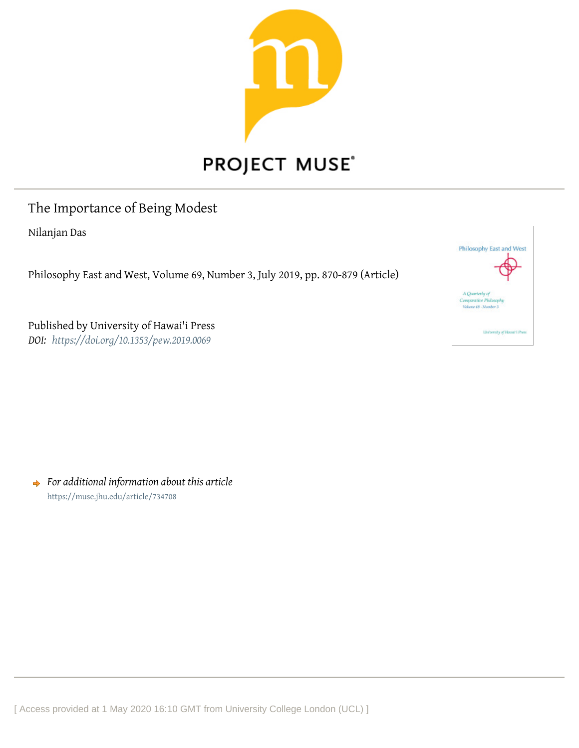

# **PROJECT MUSE®**

# The Importance of Being Modest

Nilanjan Das

Philosophy East and West, Volume 69, Number 3, July 2019, pp. 870-879 (Article)

Published by University of Hawai'i Press *DOI: <https://doi.org/10.1353/pew.2019.0069>*



*For additional information about this article* <https://muse.jhu.edu/article/734708>

[ Access provided at 1 May 2020 16:10 GMT from University College London (UCL) ]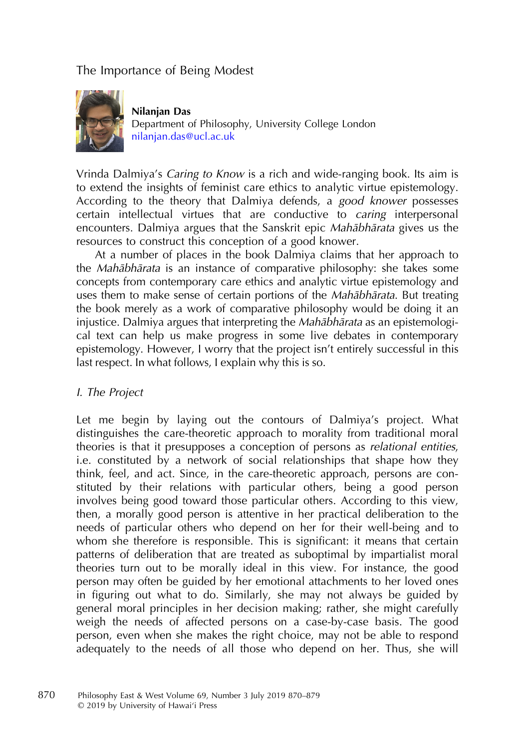The Importance of Being Modest



Nilanjan Das Department of Philosophy, University College London [nilanjan.das@ucl.ac.uk](mailto:lalcoff@gc.cuny.edu)

Vrinda Dalmiya's Caring to Know is a rich and wide-ranging book. Its aim is to extend the insights of feminist care ethics to analytic virtue epistemology. According to the theory that Dalmiya defends, a good knower possesses certain intellectual virtues that are conductive to caring interpersonal encounters. Dalmiya argues that the Sanskrit epic Mahābhārata gives us the resources to construct this conception of a good knower.

At a number of places in the book Dalmiya claims that her approach to the Mahābhārata is an instance of comparative philosophy: she takes some concepts from contemporary care ethics and analytic virtue epistemology and uses them to make sense of certain portions of the Mahābhārata. But treating the book merely as a work of comparative philosophy would be doing it an injustice. Dalmiya argues that interpreting the Mahābhārata as an epistemological text can help us make progress in some live debates in contemporary epistemology. However, I worry that the project isn't entirely successful in this last respect. In what follows, I explain why this is so.

## I. The Project

Let me begin by laying out the contours of Dalmiya's project. What distinguishes the care-theoretic approach to morality from traditional moral theories is that it presupposes a conception of persons as relational entities, i.e. constituted by a network of social relationships that shape how they think, feel, and act. Since, in the care-theoretic approach, persons are constituted by their relations with particular others, being a good person involves being good toward those particular others. According to this view, then, a morally good person is attentive in her practical deliberation to the needs of particular others who depend on her for their well-being and to whom she therefore is responsible. This is significant: it means that certain patterns of deliberation that are treated as suboptimal by impartialist moral theories turn out to be morally ideal in this view. For instance, the good person may often be guided by her emotional attachments to her loved ones in figuring out what to do. Similarly, she may not always be guided by general moral principles in her decision making; rather, she might carefully weigh the needs of affected persons on a case-by-case basis. The good person, even when she makes the right choice, may not be able to respond adequately to the needs of all those who depend on her. Thus, she will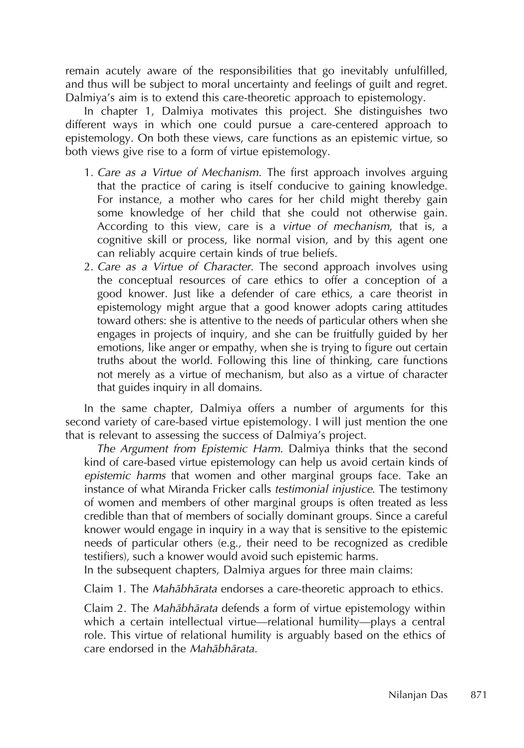remain acutely aware of the responsibilities that go inevitably unfulfilled, and thus will be subject to moral uncertainty and feelings of guilt and regret. Dalmiya's aim is to extend this care-theoretic approach to epistemology.

In chapter 1, Dalmiya motivates this project. She distinguishes two different ways in which one could pursue a care-centered approach to epistemology. On both these views, care functions as an epistemic virtue, so both views give rise to a form of virtue epistemology.

- 1. Care as <sup>a</sup> Virtue of Mechanism. The first approach involves arguing that the practice of caring is itself conducive to gaining knowledge. For instance, a mother who cares for her child might thereby gain some knowledge of her child that she could not otherwise gain. According to this view, care is a virtue of mechanism, that is, a cognitive skill or process, like normal vision, and by this agent one can reliably acquire certain kinds of true beliefs.
- 2. Care as <sup>a</sup> Virtue of Character. The second approach involves using the conceptual resources of care ethics to offer a conception of a good knower. Just like a defender of care ethics, a care theorist in epistemology might argue that a good knower adopts caring attitudes toward others: she is attentive to the needs of particular others when she engages in projects of inquiry, and she can be fruitfully guided by her emotions, like anger or empathy, when she is trying to figure out certain truths about the world. Following this line of thinking, care functions not merely as a virtue of mechanism, but also as a virtue of character that guides inquiry in all domains.

In the same chapter, Dalmiya offers a number of arguments for this second variety of care-based virtue epistemology. I will just mention the one that is relevant to assessing the success of Dalmiya's project.

The Argument from Epistemic Harm. Dalmiya thinks that the second kind of care-based virtue epistemology can help us avoid certain kinds of epistemic harms that women and other marginal groups face. Take an instance of what Miranda Fricker calls testimonial injustice. The testimony of women and members of other marginal groups is often treated as less credible than that of members of socially dominant groups. Since a careful knower would engage in inquiry in a way that is sensitive to the epistemic needs of particular others (e.g., their need to be recognized as credible testifiers), such a knower would avoid such epistemic harms.

In the subsequent chapters, Dalmiya argues for three main claims:

Claim 1. The Mahābhārata endorses a care-theoretic approach to ethics.

Claim 2. The Mahābhārata defends a form of virtue epistemology within which a certain intellectual virtue—relational humility—plays a central role. This virtue of relational humility is arguably based on the ethics of care endorsed in the Mahābhārata.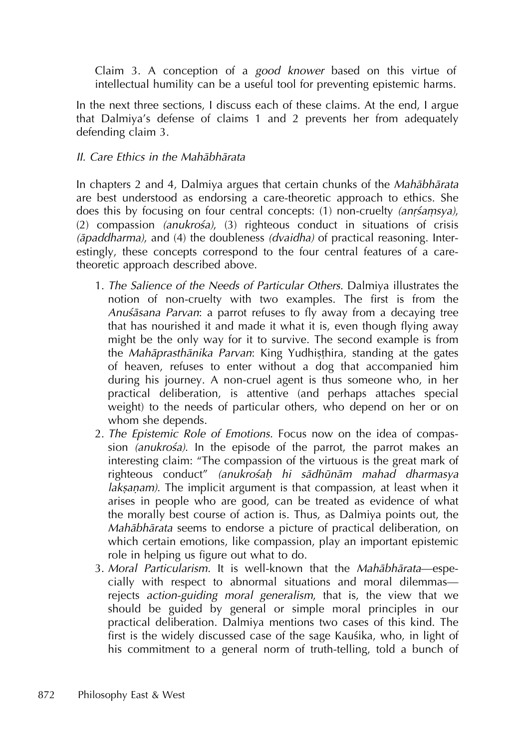Claim 3. A conception of a good knower based on this virtue of intellectual humility can be a useful tool for preventing epistemic harms.

In the next three sections, I discuss each of these claims. At the end, I argue that Dalmiya's defense of claims 1 and 2 prevents her from adequately defending claim 3.

# II. Care Ethics in the Mahābhārata

In chapters 2 and 4, Dalmiya argues that certain chunks of the Mahābhārata are best understood as endorsing a care-theoretic approach to ethics. She does this by focusing on four central concepts: (1) non-cruelty *(anrśamsya)*, (2) compassion (anukrośa), (3) righteous conduct in situations of crisis (*apaddharma*), and (4) the doubleness (*dvaidha*) of practical reasoning. Interestingly, these concepts correspond to the four central features of a caretheoretic approach described above.

- 1. The Salience of the Needs of Particular Others. Dalmiya illustrates the notion of non-cruelty with two examples. The first is from the Anuśāsana Parvan: a parrot refuses to fly away from a decaying tree that has nourished it and made it what it is, even though flying away might be the only way for it to survive. The second example is from the Mahāprasthānika Parvan: King Yudhiṣṭhira, standing at the gates of heaven, refuses to enter without a dog that accompanied him during his journey. A non-cruel agent is thus someone who, in her practical deliberation, is attentive (and perhaps attaches special weight) to the needs of particular others, who depend on her or on whom she depends.
- 2. The Epistemic Role of Emotions. Focus now on the idea of compassion (anukrośa). In the episode of the parrot, the parrot makes an interesting claim: "The compassion of the virtuous is the great mark of righteous conduct" (anukrośaḥ hi <sup>s</sup>ādhūnā<sup>m</sup> mahad dharmasya laksanam). The implicit argument is that compassion, at least when it arises in people who are good, can be treated as evidence of what the morally best course of action is. Thus, as Dalmiya points out, the Mahābhārata seems to endorse a picture of practical deliberation, on which certain emotions, like compassion, play an important epistemic role in helping us figure out what to do.
- 3. Moral Particularism. It is well-known that the Mahābhārata—especially with respect to abnormal situations and moral dilemmas rejects action-guiding moral generalism, that is, the view that we should be guided by general or simple moral principles in our practical deliberation. Dalmiya mentions two cases of this kind. The first is the widely discussed case of the sage Kauśika, who, in light of his commitment to a general norm of truth-telling, told a bunch of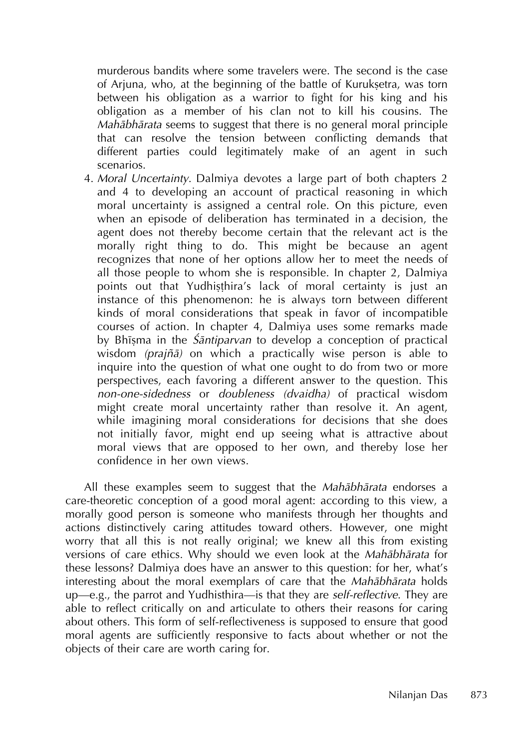murderous bandits where some travelers were. The second is the case of Arjuna, who, at the beginning of the battle of Kuruksetra, was torn between his obligation as a warrior to fight for his king and his obligation as a member of his clan not to kill his cousins. The Mahābhārata seems to suggest that there is no general moral principle that can resolve the tension between conflicting demands that different parties could legitimately make of an agent in such scenarios.

4. Moral Uncertainty. Dalmiya devotes a large part of both chapters 2 and 4 to developing an account of practical reasoning in which moral uncertainty is assigned a central role. On this picture, even when an episode of deliberation has terminated in a decision, the agent does not thereby become certain that the relevant act is the morally right thing to do. This might be because an agent recognizes that none of her options allow her to meet the needs of all those people to whom she is responsible. In chapter 2, Dalmiya points out that Yudhisthira's lack of moral certainty is just an instance of this phenomenon: he is always torn between different kinds of moral considerations that speak in favor of incompatible courses of action. In chapter 4, Dalmiya uses some remarks made by Bhīșma in the *Śāntiparvan* to develop a conception of practical wisdom (prajñā) on which a practically wise person is able to inquire into the question of what one ought to do from two or more perspectives, each favoring a different answer to the question. This non-one-sidedness or doubleness (dvaidha) of practical wisdom might create moral uncertainty rather than resolve it. An agent, while imagining moral considerations for decisions that she does not initially favor, might end up seeing what is attractive about moral views that are opposed to her own, and thereby lose her confidence in her own views.

All these examples seem to suggest that the Mahabharata endorses a care-theoretic conception of a good moral agent: according to this view, a morally good person is someone who manifests through her thoughts and actions distinctively caring attitudes toward others. However, one might worry that all this is not really original; we knew all this from existing versions of care ethics. Why should we even look at the Mahābhārata for these lessons? Dalmiya does have an answer to this question: for her, what's interesting about the moral exemplars of care that the Mahābhārata holds up—e.g., the parrot and Yudhisthira—is that they are self-reflective. They are able to reflect critically on and articulate to others their reasons for caring about others. This form of self-reflectiveness is supposed to ensure that good moral agents are sufficiently responsive to facts about whether or not the objects of their care are worth caring for.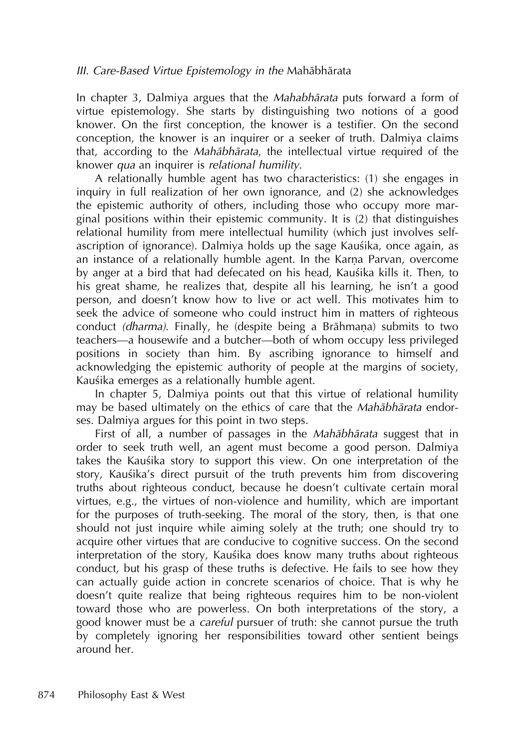In chapter 3, Dalmiya argues that the Mahabhārata puts forward a form of virtue epistemology. She starts by distinguishing two notions of a good knower. On the first conception, the knower is a testifier. On the second conception, the knower is an inquirer or a seeker of truth. Dalmiya claims that, according to the Mahābhārata, the intellectual virtue required of the knower qua an inquirer is relational humility.

A relationally humble agent has two characteristics: (1) she engages in inquiry in full realization of her own ignorance, and (2) she acknowledges the epistemic authority of others, including those who occupy more marginal positions within their epistemic community. It is (2) that distinguishes relational humility from mere intellectual humility (which just involves selfascription of ignorance). Dalmiya holds up the sage Kauśika, once again, as an instance of a relationally humble agent. In the Karṇa Parvan, overcome by anger at a bird that had defecated on his head, Kauśika kills it. Then, to his great shame, he realizes that, despite all his learning, he isn't a good person, and doesn't know how to live or act well. This motivates him to seek the advice of someone who could instruct him in matters of righteous conduct (dharma). Finally, he (despite being a Brāhmana) submits to two teachers—a housewife and a butcher—both of whom occupy less privileged positions in society than him. By ascribing ignorance to himself and acknowledging the epistemic authority of people at the margins of society, Kauśika emerges as a relationally humble agent.

In chapter 5, Dalmiya points out that this virtue of relational humility may be based ultimately on the ethics of care that the Mahābhārata endorses. Dalmiya argues for this point in two steps.

First of all, a number of passages in the Mahabharata suggest that in order to seek truth well, an agent must become a good person. Dalmiya takes the Kauśika story to support this view. On one interpretation of the story, Kauśika's direct pursuit of the truth prevents him from discovering truths about righteous conduct, because he doesn't cultivate certain moral virtues, e.g., the virtues of non-violence and humility, which are important for the purposes of truth-seeking. The moral of the story, then, is that one should not just inquire while aiming solely at the truth; one should try to acquire other virtues that are conducive to cognitive success. On the second interpretation of the story, Kauśika does know many truths about righteous conduct, but his grasp of these truths is defective. He fails to see how they can actually guide action in concrete scenarios of choice. That is why he doesn't quite realize that being righteous requires him to be non-violent toward those who are powerless. On both interpretations of the story, a good knower must be a *careful* pursuer of truth: she cannot pursue the truth by completely ignoring her responsibilities toward other sentient beings around her.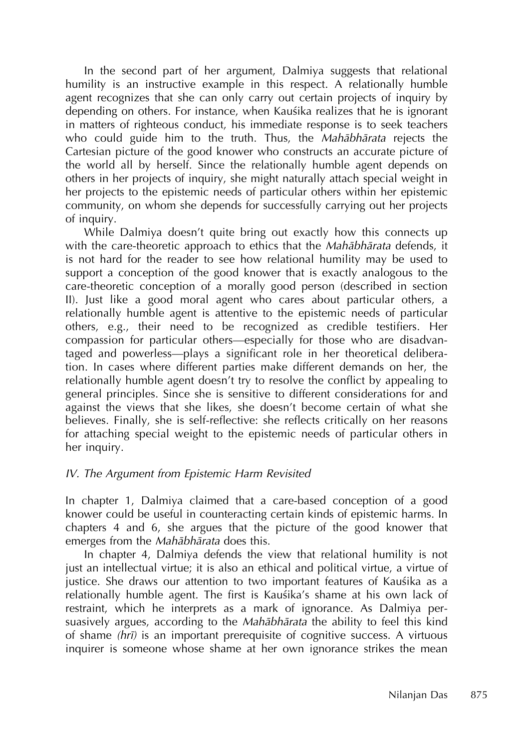In the second part of her argument, Dalmiya suggests that relational humility is an instructive example in this respect. A relationally humble agent recognizes that she can only carry out certain projects of inquiry by depending on others. For instance, when Kauśika realizes that he is ignorant in matters of righteous conduct, his immediate response is to seek teachers who could guide him to the truth. Thus, the Mahābhārata rejects the Cartesian picture of the good knower who constructs an accurate picture of the world all by herself. Since the relationally humble agent depends on others in her projects of inquiry, she might naturally attach special weight in her projects to the epistemic needs of particular others within her epistemic community, on whom she depends for successfully carrying out her projects of inquiry.

While Dalmiya doesn't quite bring out exactly how this connects up with the care-theoretic approach to ethics that the Mahabharata defends, it is not hard for the reader to see how relational humility may be used to support a conception of the good knower that is exactly analogous to the care-theoretic conception of a morally good person (described in section II). Just like a good moral agent who cares about particular others, a relationally humble agent is attentive to the epistemic needs of particular others, e.g., their need to be recognized as credible testifiers. Her compassion for particular others—especially for those who are disadvantaged and powerless—plays a significant role in her theoretical deliberation. In cases where different parties make different demands on her, the relationally humble agent doesn't try to resolve the conflict by appealing to general principles. Since she is sensitive to different considerations for and against the views that she likes, she doesn't become certain of what she believes. Finally, she is self-reflective: she reflects critically on her reasons for attaching special weight to the epistemic needs of particular others in her inquiry.

#### IV. The Argument from Epistemic Harm Revisited

In chapter 1, Dalmiya claimed that a care-based conception of a good knower could be useful in counteracting certain kinds of epistemic harms. In chapters 4 and 6, she argues that the picture of the good knower that emerges from the Mahābhārata does this.

In chapter 4, Dalmiya defends the view that relational humility is not just an intellectual virtue; it is also an ethical and political virtue, a virtue of justice. She draws our attention to two important features of Kauśika as a relationally humble agent. The first is Kauśika's shame at his own lack of restraint, which he interprets as a mark of ignorance. As Dalmiya persuasively argues, according to the Mahābhārata the ability to feel this kind of shame (hrī) is an important prerequisite of cognitive success. A virtuous inquirer is someone whose shame at her own ignorance strikes the mean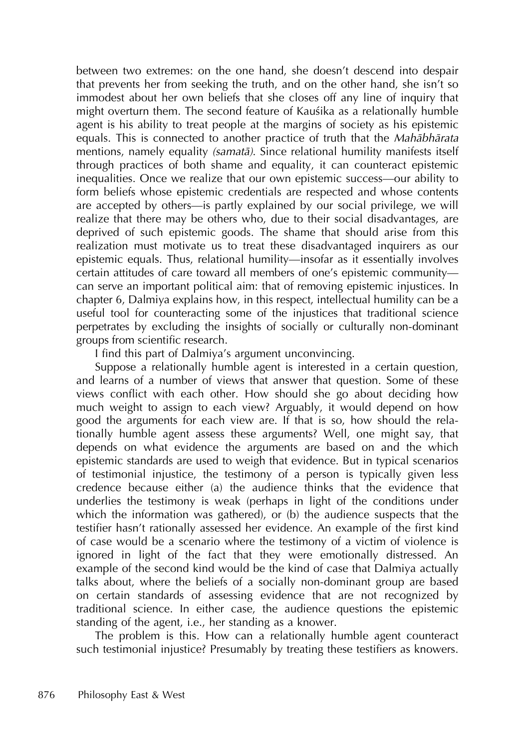between two extremes: on the one hand, she doesn't descend into despair that prevents her from seeking the truth, and on the other hand, she isn't so immodest about her own beliefs that she closes off any line of inquiry that might overturn them. The second feature of Kauśika as a relationally humble agent is his ability to treat people at the margins of society as his epistemic equals. This is connected to another practice of truth that the Mahābhārata mentions, namely equality *(samatā)*. Since relational humility manifests itself through practices of both shame and equality, it can counteract epistemic inequalities. Once we realize that our own epistemic success—our ability to form beliefs whose epistemic credentials are respected and whose contents are accepted by others—is partly explained by our social privilege, we will realize that there may be others who, due to their social disadvantages, are deprived of such epistemic goods. The shame that should arise from this realization must motivate us to treat these disadvantaged inquirers as our epistemic equals. Thus, relational humility—insofar as it essentially involves certain attitudes of care toward all members of one's epistemic community can serve an important political aim: that of removing epistemic injustices. In chapter 6, Dalmiya explains how, in this respect, intellectual humility can be a useful tool for counteracting some of the injustices that traditional science perpetrates by excluding the insights of socially or culturally non-dominant groups from scientific research.

I find this part of Dalmiya's argument unconvincing.

Suppose a relationally humble agent is interested in a certain question, and learns of a number of views that answer that question. Some of these views conflict with each other. How should she go about deciding how much weight to assign to each view? Arguably, it would depend on how good the arguments for each view are. If that is so, how should the relationally humble agent assess these arguments? Well, one might say, that depends on what evidence the arguments are based on and the which epistemic standards are used to weigh that evidence. But in typical scenarios of testimonial injustice, the testimony of a person is typically given less credence because either (a) the audience thinks that the evidence that underlies the testimony is weak (perhaps in light of the conditions under which the information was gathered), or (b) the audience suspects that the testifier hasn't rationally assessed her evidence. An example of the first kind of case would be a scenario where the testimony of a victim of violence is ignored in light of the fact that they were emotionally distressed. An example of the second kind would be the kind of case that Dalmiya actually talks about, where the beliefs of a socially non-dominant group are based on certain standards of assessing evidence that are not recognized by traditional science. In either case, the audience questions the epistemic standing of the agent, i.e., her standing as a knower.

The problem is this. How can a relationally humble agent counteract such testimonial injustice? Presumably by treating these testifiers as knowers.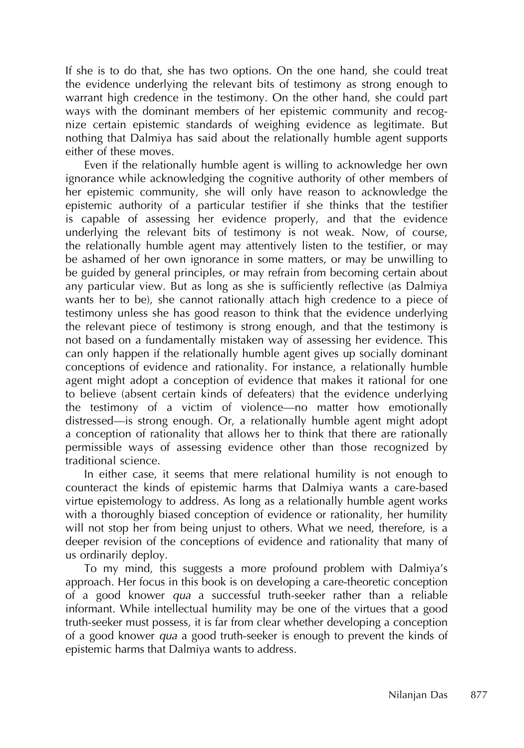If she is to do that, she has two options. On the one hand, she could treat the evidence underlying the relevant bits of testimony as strong enough to warrant high credence in the testimony. On the other hand, she could part ways with the dominant members of her epistemic community and recognize certain epistemic standards of weighing evidence as legitimate. But nothing that Dalmiya has said about the relationally humble agent supports either of these moves.

Even if the relationally humble agent is willing to acknowledge her own ignorance while acknowledging the cognitive authority of other members of her epistemic community, she will only have reason to acknowledge the epistemic authority of a particular testifier if she thinks that the testifier is capable of assessing her evidence properly, and that the evidence underlying the relevant bits of testimony is not weak. Now, of course, the relationally humble agent may attentively listen to the testifier, or may be ashamed of her own ignorance in some matters, or may be unwilling to be guided by general principles, or may refrain from becoming certain about any particular view. But as long as she is sufficiently reflective (as Dalmiya wants her to be), she cannot rationally attach high credence to a piece of testimony unless she has good reason to think that the evidence underlying the relevant piece of testimony is strong enough, and that the testimony is not based on a fundamentally mistaken way of assessing her evidence. This can only happen if the relationally humble agent gives up socially dominant conceptions of evidence and rationality. For instance, a relationally humble agent might adopt a conception of evidence that makes it rational for one to believe (absent certain kinds of defeaters) that the evidence underlying the testimony of a victim of violence—no matter how emotionally distressed—is strong enough. Or, a relationally humble agent might adopt a conception of rationality that allows her to think that there are rationally permissible ways of assessing evidence other than those recognized by traditional science.

In either case, it seems that mere relational humility is not enough to counteract the kinds of epistemic harms that Dalmiya wants a care-based virtue epistemology to address. As long as a relationally humble agent works with a thoroughly biased conception of evidence or rationality, her humility will not stop her from being unjust to others. What we need, therefore, is a deeper revision of the conceptions of evidence and rationality that many of us ordinarily deploy.

To my mind, this suggests a more profound problem with Dalmiya's approach. Her focus in this book is on developing a care-theoretic conception of a good knower qua a successful truth-seeker rather than a reliable informant. While intellectual humility may be one of the virtues that a good truth-seeker must possess, it is far from clear whether developing a conception of a good knower qua a good truth-seeker is enough to prevent the kinds of epistemic harms that Dalmiya wants to address.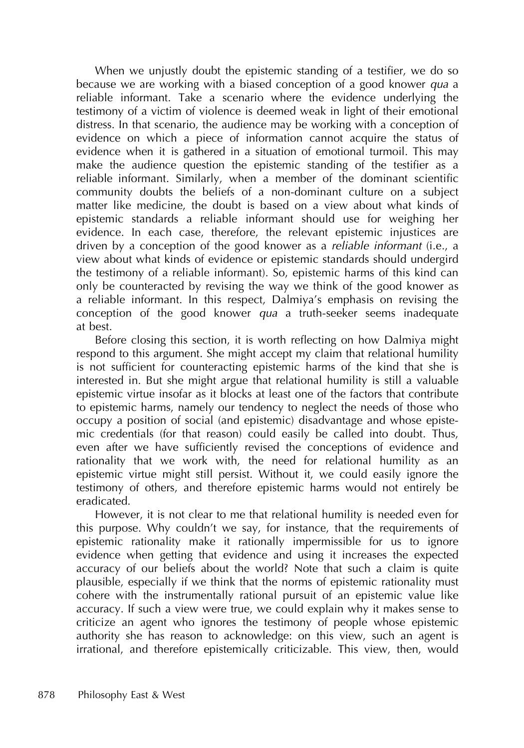When we unjustly doubt the epistemic standing of a testifier, we do so because we are working with a biased conception of a good knower qua a reliable informant. Take a scenario where the evidence underlying the testimony of a victim of violence is deemed weak in light of their emotional distress. In that scenario, the audience may be working with a conception of evidence on which a piece of information cannot acquire the status of evidence when it is gathered in a situation of emotional turmoil. This may make the audience question the epistemic standing of the testifier as a reliable informant. Similarly, when a member of the dominant scientific community doubts the beliefs of a non-dominant culture on a subject matter like medicine, the doubt is based on a view about what kinds of epistemic standards a reliable informant should use for weighing her evidence. In each case, therefore, the relevant epistemic injustices are driven by a conception of the good knower as a reliable informant (i.e., a view about what kinds of evidence or epistemic standards should undergird the testimony of a reliable informant). So, epistemic harms of this kind can only be counteracted by revising the way we think of the good knower as a reliable informant. In this respect, Dalmiya's emphasis on revising the conception of the good knower qua a truth-seeker seems inadequate at best.

Before closing this section, it is worth reflecting on how Dalmiya might respond to this argument. She might accept my claim that relational humility is not sufficient for counteracting epistemic harms of the kind that she is interested in. But she might argue that relational humility is still a valuable epistemic virtue insofar as it blocks at least one of the factors that contribute to epistemic harms, namely our tendency to neglect the needs of those who occupy a position of social (and epistemic) disadvantage and whose epistemic credentials (for that reason) could easily be called into doubt. Thus, even after we have sufficiently revised the conceptions of evidence and rationality that we work with, the need for relational humility as an epistemic virtue might still persist. Without it, we could easily ignore the testimony of others, and therefore epistemic harms would not entirely be eradicated.

However, it is not clear to me that relational humility is needed even for this purpose. Why couldn't we say, for instance, that the requirements of epistemic rationality make it rationally impermissible for us to ignore evidence when getting that evidence and using it increases the expected accuracy of our beliefs about the world? Note that such a claim is quite plausible, especially if we think that the norms of epistemic rationality must cohere with the instrumentally rational pursuit of an epistemic value like accuracy. If such a view were true, we could explain why it makes sense to criticize an agent who ignores the testimony of people whose epistemic authority she has reason to acknowledge: on this view, such an agent is irrational, and therefore epistemically criticizable. This view, then, would